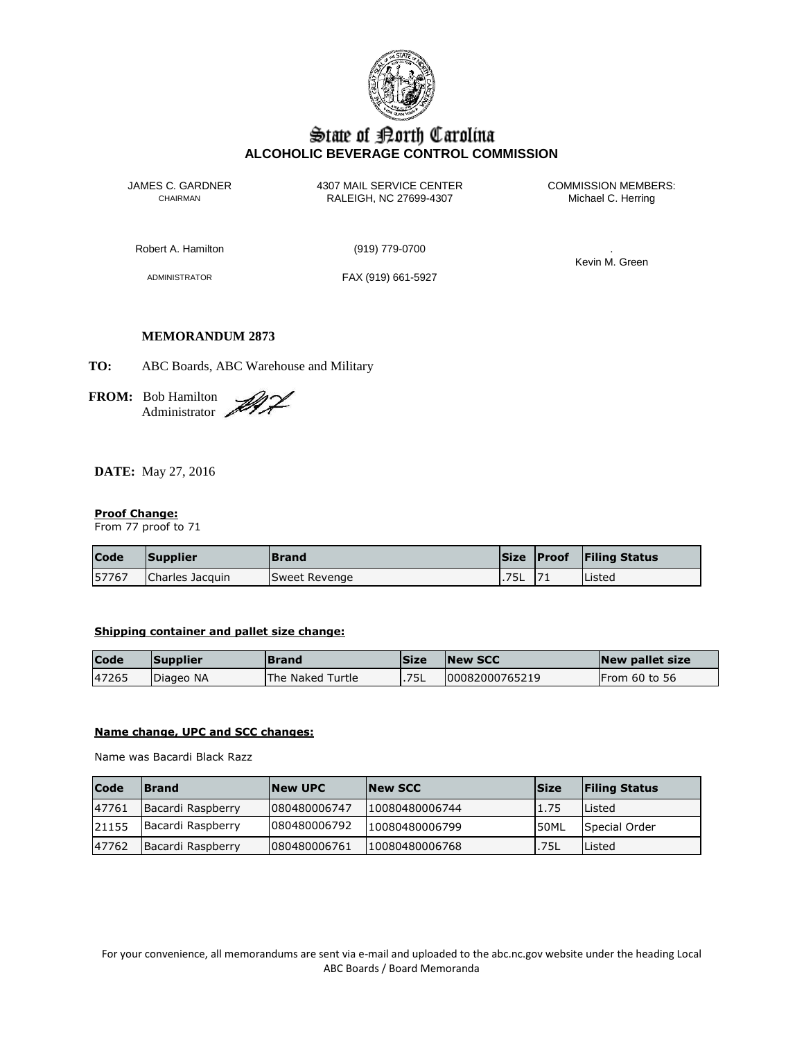

# State of Borth Carolina **ALCOHOLIC BEVERAGE CONTROL COMMISSION**

JAMES C. GARDNER 4307 MAIL SERVICE CENTER<br>CHAIRMAN CHAIRMAN RALEIGH, NC 27699-4307 Michael C. Herring CHAIRMAN RALEIGH, NC 27699-4307

Robert A. Hamilton (919) 779-0700 .

ADMINISTRATOR FAX (919) 661-5927

Kevin M. Green

# **MEMORANDUM 2873**

**TO:** ABC Boards, ABC Warehouse and Military

**FROM:** Bob Hamilton Administrator

**DATE:** May 27, 2016

# **Proof Change:**

From 77 proof to 71

| <b>Code</b> | Supplier        | Brand         |      | Size Proof | <b>Filing Status</b> |
|-------------|-----------------|---------------|------|------------|----------------------|
| 57767       | Charles Jacquin | Sweet Revenge | .75L |            | <b>Listed</b>        |

#### **Shipping container and pallet size change:**

| <b>Code</b> | Supplier  | <b>Brand</b>     | <b>Size</b> | <b>INew SCC</b> | New pallet size |
|-------------|-----------|------------------|-------------|-----------------|-----------------|
| 47265       | Diageo NA | The Naked Turtle | .75L        | 00082000765219  | IFrom 60 to 56  |

#### **Name change, UPC and SCC changes:**

Name was Bacardi Black Razz

l.

| <b>Code</b> | <b>Brand</b>      | <b>New UPC</b> | <b>New SCC</b> | <b>Size</b>  | <b>Filing Status</b> |
|-------------|-------------------|----------------|----------------|--------------|----------------------|
| 47761       | Bacardi Raspberry | 1080480006747  | 10080480006744 | 1.75         | Listed               |
| 21155       | Bacardi Raspberry | 080480006792   | 10080480006799 | <b>I50ML</b> | Special Order        |
| 47762       | Bacardi Raspberry | 1080480006761  | 10080480006768 | .75L         | Listed               |

For your convenience, all memorandums are sent via e-mail and uploaded to the abc.nc.gov website under the heading Local ABC Boards / Board Memoranda